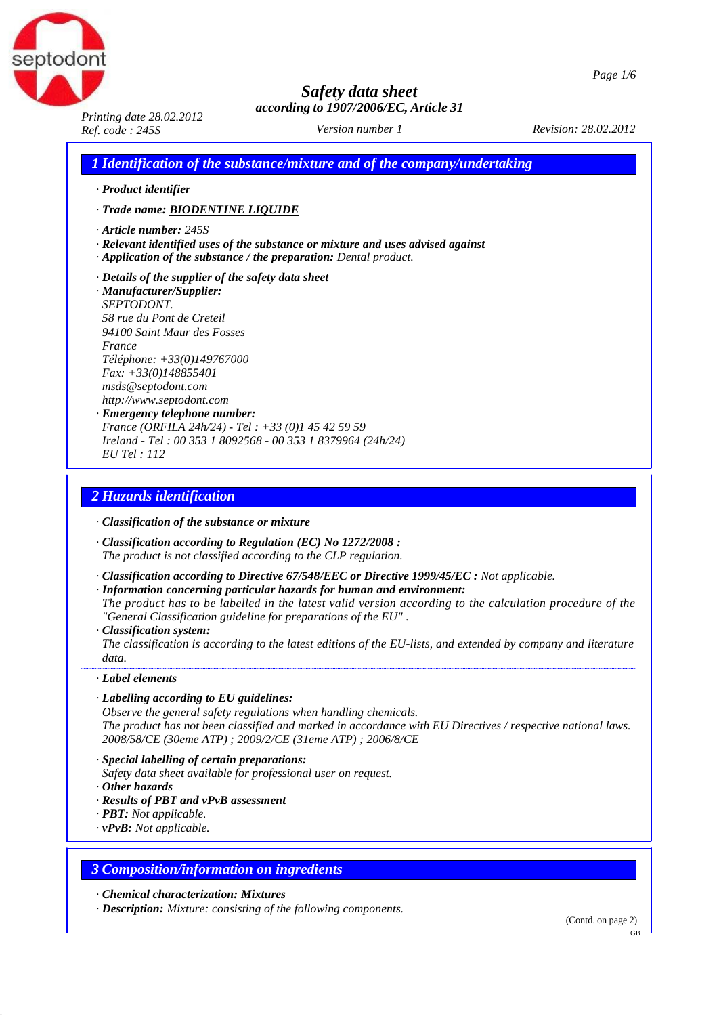



*Printing date 28.02.2012 Ref. code : 245S Revision: 28.02.2012*

*Version number 1*

*1 Identification of the substance/mixture and of the company/undertaking*

*· Product identifier*

*· Trade name: BIODENTINE LIQUIDE*

- *· Article number: 245S*
- *· Relevant identified uses of the substance or mixture and uses advised against*
- *· Application of the substance / the preparation: Dental product.*
- *· Details of the supplier of the safety data sheet*

*· Manufacturer/Supplier: SEPTODONT. 58 rue du Pont de Creteil 94100 Saint Maur des Fosses France Téléphone: +33(0)149767000 Fax: +33(0)148855401 [msds@septodont.com](mailto:msds@septodont.com)  [http://www.septodont.com](mailto:msds@septodont.com)*

*· Emergency telephone number: France (ORFILA 24h/24) - Tel : +33 (0)1 45 42 59 59 Ireland - Tel : 00 353 1 8092568 - 00 353 1 8379964 (24h/24) EU Tel : 112*

### *2 Hazards identification*

*· Classification of the substance or mixture*

*· Classification according to Regulation (EC) No 1272/2008 : The product is not classified according to the CLP regulation.*

- *· Classification according to Directive 67/548/EEC or Directive 1999/45/EC : Not applicable.*
- *· Information concerning particular hazards for human and environment:* The product has to be labelled in the latest valid version according to the calculation procedure of the *"General Classification guideline for preparations of the EU" .*
- *· Classification system:*

The classification is according to the latest editions of the EU-lists, and extended by company and literature *data.*

#### *· Label elements*

#### *· Labelling according to EU guidelines:*

*Observe the general safety regulations when handling chemicals. The product has not been classified and marked in accordance with EU Directives / respective national laws. 2008/58/CE (30eme ATP) ; 2009/2/CE (31eme ATP) ; 2006/8/CE*

*· Special labelling of certain preparations:*

*Safety data sheet available for professional user on request.*

- *· Other hazards*
- *· Results of PBT and vPvB assessment*
- *· PBT: Not applicable.*
- *· vPvB: Not applicable.*

### *3 Composition/information on ingredients*

*· Chemical characterization: Mixtures*

*· Description: Mixture: consisting of the following components.*

(Contd. on page 2)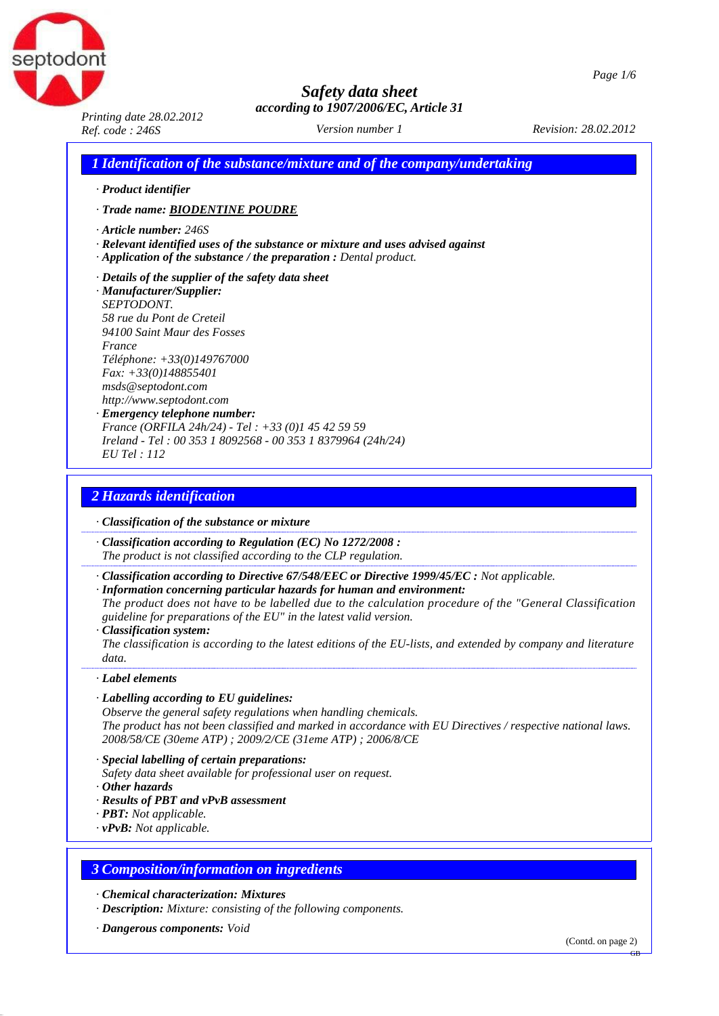



*Printing date 28.02.2012 Ref. code : 246S Revision: 28.02.2012*

*Version number 1*

*1 Identification of the substance/mixture and of the company/undertaking*

*· Product identifier*

*· Trade name: BIODENTINE POUDRE*

- *· Article number: 246S*
- *· Relevant identified uses of the substance or mixture and uses advised against*
- *· Application of the substance / the preparation : Dental product.*
- *· Details of the supplier of the safety data sheet*

*· Manufacturer/Supplier: SEPTODONT. 58 rue du Pont de Creteil 94100 Saint Maur des Fosses France Téléphone: +33(0)149767000 Fax: +33(0)148855401 [msds@septodont.com](mailto:msds@septodont.com)  [http://www.septodont.com](mailto:msds@septodont.com)*

*· Emergency telephone number: France (ORFILA 24h/24) - Tel : +33 (0)1 45 42 59 59 Ireland - Tel : 00 353 1 8092568 - 00 353 1 8379964 (24h/24) EU Tel : 112*

### *2 Hazards identification*

*· Classification of the substance or mixture*

*· Classification according to Regulation (EC) No 1272/2008 : The product is not classified according to the CLP regulation.*

- *· Classification according to Directive 67/548/EEC or Directive 1999/45/EC : Not applicable.*
- *· Information concerning particular hazards for human and environment: The product does not have to be labelled due to the calculation procedure of the "General Classification guideline for preparations of the EU" in the latest valid version.*
- *· Classification system:*

The classification is according to the latest editions of the EU-lists, and extended by company and literature *data.*

#### *· Label elements*

#### *· Labelling according to EU guidelines:*

*Observe the general safety regulations when handling chemicals. The product has not been classified and marked in accordance with EU Directives / respective national laws. 2008/58/CE (30eme ATP) ; 2009/2/CE (31eme ATP) ; 2006/8/CE*

*· Special labelling of certain preparations:*

*Safety data sheet available for professional user on request.*

- *· Other hazards*
- *· Results of PBT and vPvB assessment*
- *· PBT: Not applicable.*
- *· vPvB: Not applicable.*

### *3 Composition/information on ingredients*

- *· Chemical characterization: Mixtures*
- *· Description: Mixture: consisting of the following components.*
- *· Dangerous components: Void*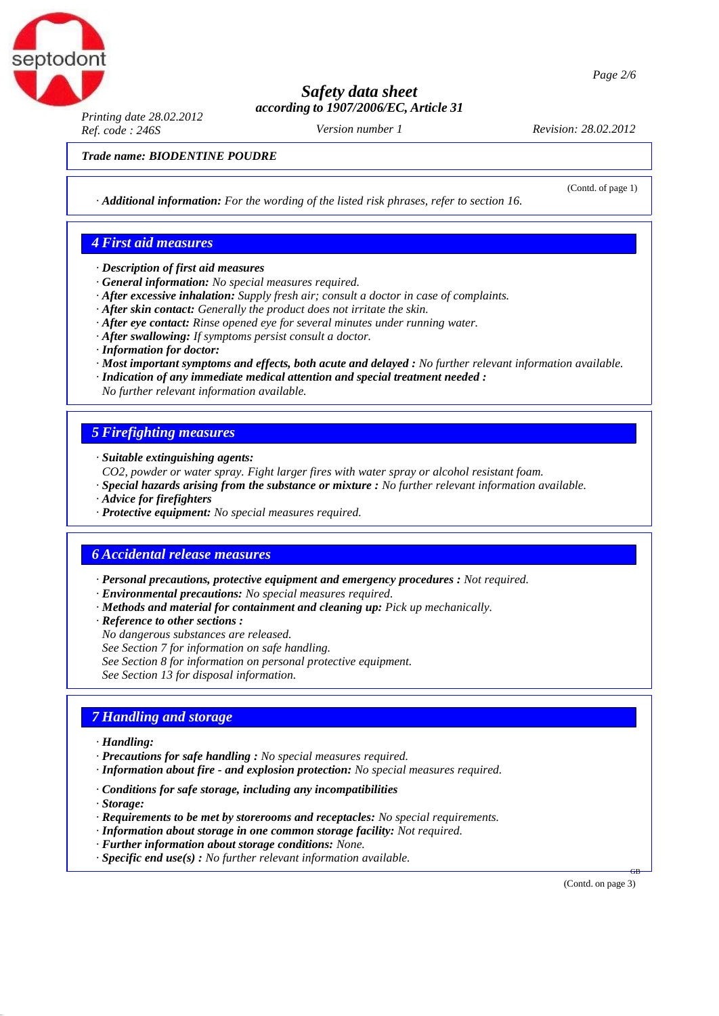

*Page 2/6*

## *Safety data sheet according to 1907/2006/EC, Article 31*

*Printing date 28.02.2012 Ref. code : 246S Revision: 28.02.2012*

*Version number 1*

(Contd. of page 1)

*Trade name: BIODENTINE POUDRE*

*· Additional information: For the wording of the listed risk phrases, refer to section 16.*

### *4 First aid measures*

- *· Description of first aid measures*
- *· General information: No special measures required.*
- *· After excessive inhalation: Supply fresh air; consult a doctor in case of complaints.*
- *· After skin contact: Generally the product does not irritate the skin.*
- *· After eye contact: Rinse opened eye for several minutes under running water.*
- *· After swallowing: If symptoms persist consult a doctor.*
- *· Information for doctor:*
- *· Most important symptoms and effects, both acute and delayed : No further relevant information available.*
- *· Indication of any immediate medical attention and special treatment needed :*
- *No further relevant information available.*

### *5 Firefighting measures*

*· Suitable extinguishing agents:*

- *CO2, powder or water spray. Fight larger fires with water spray or alcohol resistant foam.*
- *· Special hazards arising from the substance or mixture : No further relevant information available.*
- *· Advice for firefighters*
- *· Protective equipment: No special measures required.*

### *6 Accidental release measures*

- *· Personal precautions, protective equipment and emergency procedures : Not required.*
- *· Environmental precautions: No special measures required.*
- *· Methods and material for containment and cleaning up: Pick up mechanically.*
- *· Reference to other sections :*
- *No dangerous substances are released.*
- *See Section 7 for information on safe handling.*
- *See Section 8 for information on personal protective equipment.*

*See Section 13 for disposal information.*

## *7 Handling and storage*

- *· Handling:*
- *· Precautions for safe handling : No special measures required.*
- *· Information about fire - and explosion protection: No special measures required.*
- *· Conditions for safe storage, including any incompatibilities*
- *· Storage:*
- *· Requirements to be met by storerooms and receptacles: No special requirements.*
- *· Information about storage in one common storage facility: Not required.*
- *· Further information about storage conditions: None.*
- *· Specific end use(s) : No further relevant information available.*

(Contd. on page 3)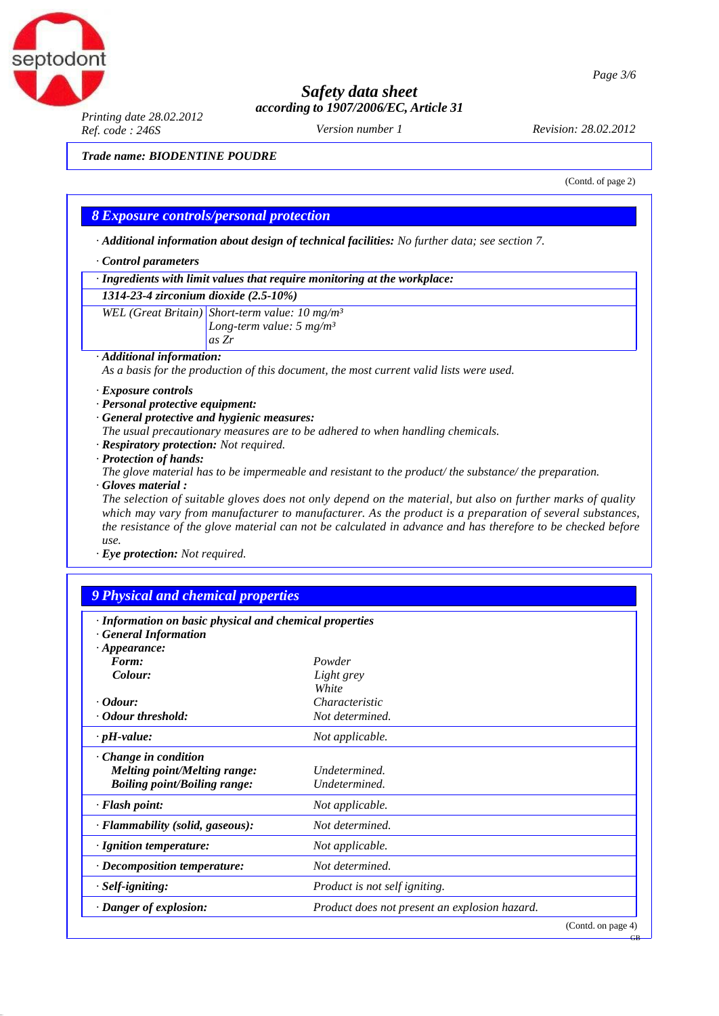

*Page 3/6*

## *Safety data sheet according to 1907/2006/EC, Article 31*

*Printing date 28.02.2012 Ref. code : 246S Revision: 28.02.2012*

*Version number 1*

*Trade name: BIODENTINE POUDRE*

(Contd. of page 2)

GB

### *8 Exposure controls/personal protection*

*· Additional information about design of technical facilities: No further data; see section 7.*

#### *· Control parameters*

*· Ingredients with limit values that require monitoring at the workplace:*

#### *1314-23-4 zirconium dioxide (2.5-10%)*

*WEL (Great Britain) Short-term value: 10 mg/m³ Long-term value: 5 mg/m³ as Zr*

*· Additional information:*

*As a basis for the production of this document, the most current valid lists were used.*

- *· Exposure controls*
- *· Personal protective equipment:*
- *· General protective and hygienic measures:*
- *The usual precautionary measures are to be adhered to when handling chemicals.*
- *· Respiratory protection: Not required.*
- *· Protection of hands:*

*The glove material has to be impermeable and resistant to the product/ the substance/ the preparation. · Gloves material :*

The selection of suitable gloves does not only depend on the material, but also on further marks of quality *which may vary from manufacturer to manufacturer. As the product is a preparation of several substances,*  the resistance of the glove material can not be calculated in advance and has therefore to be checked before *use.*

*· Eye protection: Not required.*

### *9 Physical and chemical properties*

| · Information on basic physical and chemical properties                                                   |                                               |  |
|-----------------------------------------------------------------------------------------------------------|-----------------------------------------------|--|
| <b>General Information</b><br>$\cdot$ Appearance:                                                         |                                               |  |
| Form:                                                                                                     | Powder                                        |  |
| Colour:                                                                                                   | Light grey<br>White                           |  |
| $\cdot$ Odour:                                                                                            | Characteristic                                |  |
| · Odour threshold:                                                                                        | Not determined.                               |  |
| $\cdot$ pH-value:                                                                                         | Not applicable.                               |  |
| $\cdot$ Change in condition<br><i>Melting point/Melting range:</i><br><b>Boiling point/Boiling range:</b> | Undetermined.<br>Undetermined.                |  |
| · Flash point:                                                                                            | Not applicable.                               |  |
| · Flammability (solid, gaseous):                                                                          | Not determined.                               |  |
| · Ignition temperature:                                                                                   | Not applicable.                               |  |
| $\cdot$ Decomposition temperature:                                                                        | Not determined.                               |  |
| $·$ <i>Self-igniting:</i>                                                                                 | Product is not self igniting.                 |  |
| · Danger of explosion:                                                                                    | Product does not present an explosion hazard. |  |
|                                                                                                           | (Contd. on page 4)                            |  |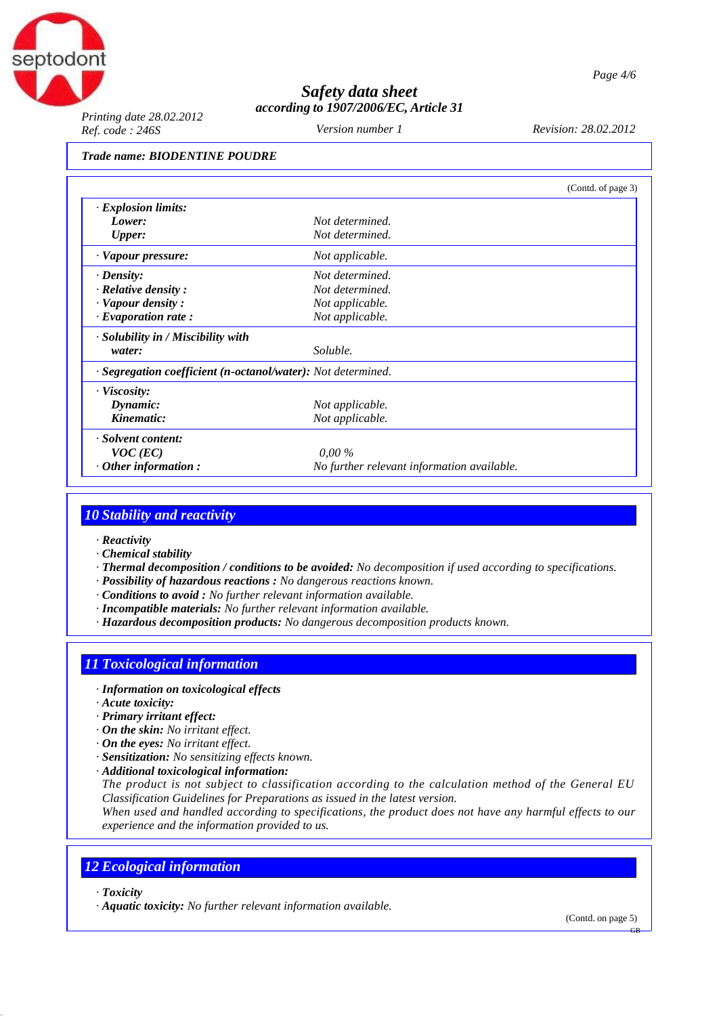

*Printing date 28.02.2012 Ref. code : 246S Revision: 28.02.2012*

*Version number 1*

#### *Trade name: BIODENTINE POUDRE*

|                                                              |                                            | (Contd. of page 3) |
|--------------------------------------------------------------|--------------------------------------------|--------------------|
| · Explosion limits:                                          |                                            |                    |
| Lower:                                                       | Not determined.                            |                    |
| <b>Upper:</b>                                                | Not determined.                            |                    |
| · Vapour pressure:                                           | Not applicable.                            |                    |
| $\cdot$ Density:                                             | Not determined.                            |                    |
| $\cdot$ Relative density :                                   | Not determined.                            |                    |
| · Vapour density:                                            | Not applicable.                            |                    |
| $\cdot$ Evaporation rate:                                    | Not applicable.                            |                    |
| · Solubility in / Miscibility with                           |                                            |                    |
| water:                                                       | Soluble.                                   |                    |
| · Segregation coefficient (n-octanol/water): Not determined. |                                            |                    |
| $\cdot$ Viscosity:                                           |                                            |                    |
| Dynamic:                                                     | Not applicable.                            |                    |
| Kinematic:                                                   | Not applicable.                            |                    |
| · Solvent content:                                           |                                            |                    |
| $VOC$ (EC)                                                   | $0.00\%$                                   |                    |
| $\cdot$ Other information:                                   | No further relevant information available. |                    |

### *10 Stability and reactivity*

- *· Reactivity*
- *· Chemical stability*
- *· Thermal decomposition / conditions to be avoided: No decomposition if used according to specifications.*
- *· Possibility of hazardous reactions : No dangerous reactions known.*
- *· Conditions to avoid : No further relevant information available.*
- *· Incompatible materials: No further relevant information available.*
- *· Hazardous decomposition products: No dangerous decomposition products known.*

## *11 Toxicological information*

- *· Information on toxicological effects*
- *· Acute toxicity:*
- *· Primary irritant effect:*
- *· On the skin: No irritant effect.*
- *· On the eyes: No irritant effect.*
- *· Sensitization: No sensitizing effects known.*
- *· Additional toxicological information:*

*The product is not subject to classification according to the calculation method of the General EU Classification Guidelines for Preparations as issued in the latest version.*

*When used and handled according to specifications, the product does not have any harmful effects to our experience and the information provided to us.*

## *12 Ecological information*

*· Toxicity*

*· Aquatic toxicity: No further relevant information available.*

(Contd. on page 5)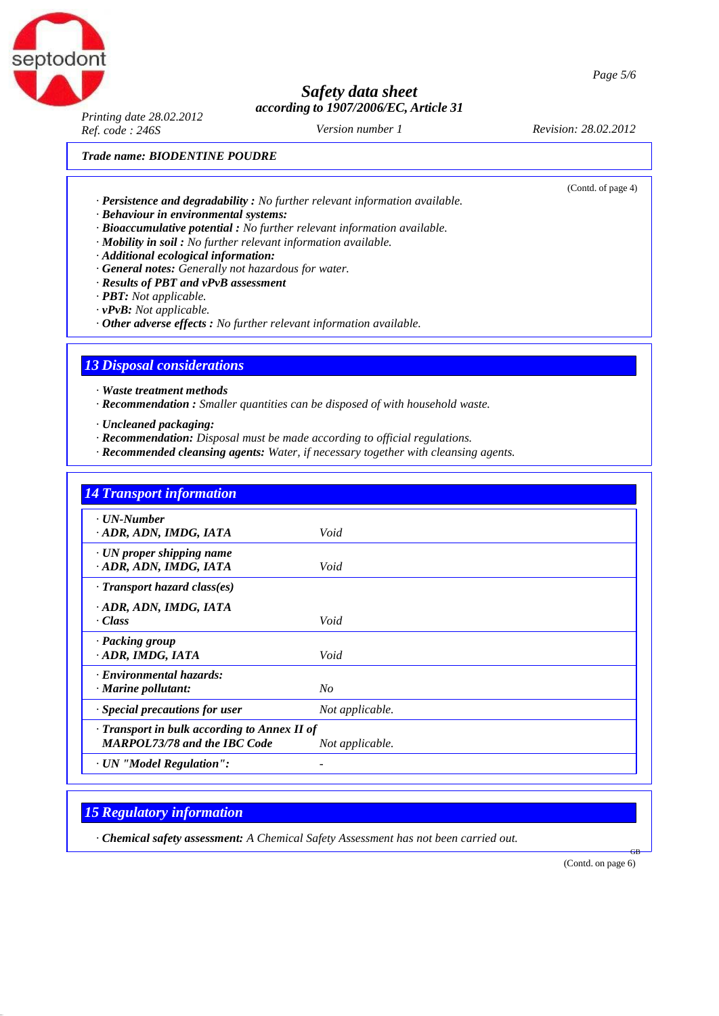*Printing date 28.02.2012 Ref. code : 246S Revision: 28.02.2012*

*Version number 1*

(Contd. of page 4)

#### *Trade name: BIODENTINE POUDRE*

- *· Persistence and degradability : No further relevant information available.*
- *· Behaviour in environmental systems:*
- *· Bioaccumulative potential : No further relevant information available.*
- *· Mobility in soil : No further relevant information available.*
- *· Additional ecological information:*
- *· General notes: Generally not hazardous for water.*
- *· Results of PBT and vPvB assessment*
- *· PBT: Not applicable.*
- *· vPvB: Not applicable.*
- *· Other adverse effects : No further relevant information available.*

## *13 Disposal considerations*

*· Waste treatment methods*

- *· Recommendation : Smaller quantities can be disposed of with household waste.*
- *· Uncleaned packaging:*
- *· Recommendation: Disposal must be made according to official regulations.*
- *· Recommended cleansing agents: Water, if necessary together with cleansing agents.*

| <b>14 Transport information</b>                    |                 |
|----------------------------------------------------|-----------------|
| · UN-Number                                        |                 |
| · ADR, ADN, IMDG, IATA                             | Void            |
| $\cdot$ UN proper shipping name                    |                 |
| · ADR, ADN, IMDG, IATA                             | Void            |
| $\cdot$ Transport hazard class(es)                 |                 |
| · ADR, ADN, IMDG, IATA                             |                 |
| · Class                                            | Void            |
| · Packing group                                    |                 |
| · ADR, IMDG, IATA                                  | Void            |
| · Environmental hazards:                           |                 |
| · Marine pollutant:                                | N <sub>O</sub>  |
| $\cdot$ Special precautions for user               | Not applicable. |
| $\cdot$ Transport in bulk according to Annex II of |                 |
| <b>MARPOL73/78 and the IBC Code</b>                | Not applicable. |
| · UN "Model Regulation":                           |                 |

## *15 Regulatory information*

*· Chemical safety assessment: A Chemical Safety Assessment has not been carried out.*

(Contd. on page 6)

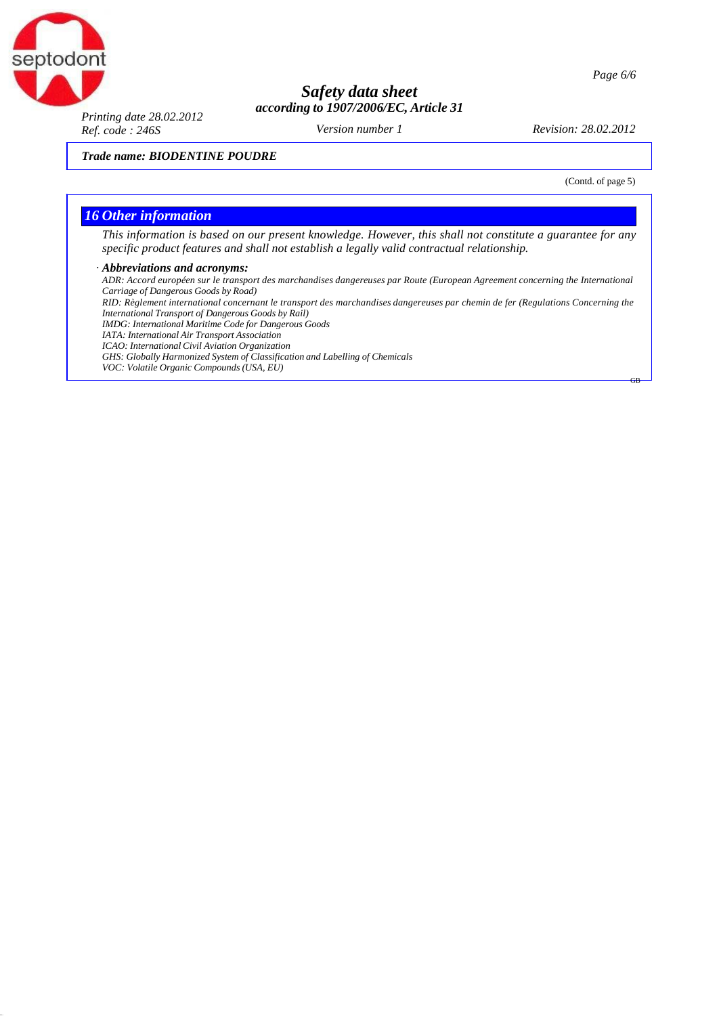

#### *Page 6/6*

## *Safety data sheet according to 1907/2006/EC, Article 31*

*Printing date 28.02.2012 Ref. code : 246S Revision: 28.02.2012*

*Version number 1*

*Trade name: BIODENTINE POUDRE*

(Contd. of page 5)

GB

#### *16 Other information*

This information is based on our present knowledge. However, this shall not constitute a guarantee for any *specific product features and shall not establish a legally valid contractual relationship.*

#### *· Abbreviations and acronyms:*

*ADR: Accord européen sur le transport des marchandises dangereuses par Route (European Agreement concerning the International Carriage of Dangerous Goods by Road)* RID: Règlement international concernant le transport des marchandises dangereuses par chemin de fer (Regulations Concerning the *International Transport of Dangerous Goods by Rail) IMDG: International Maritime Code for Dangerous Goods IATA: International Air Transport Association ICAO: International Civil Aviation Organization GHS: Globally Harmonized System of Classification and Labelling of Chemicals VOC: Volatile Organic Compounds (USA, EU)*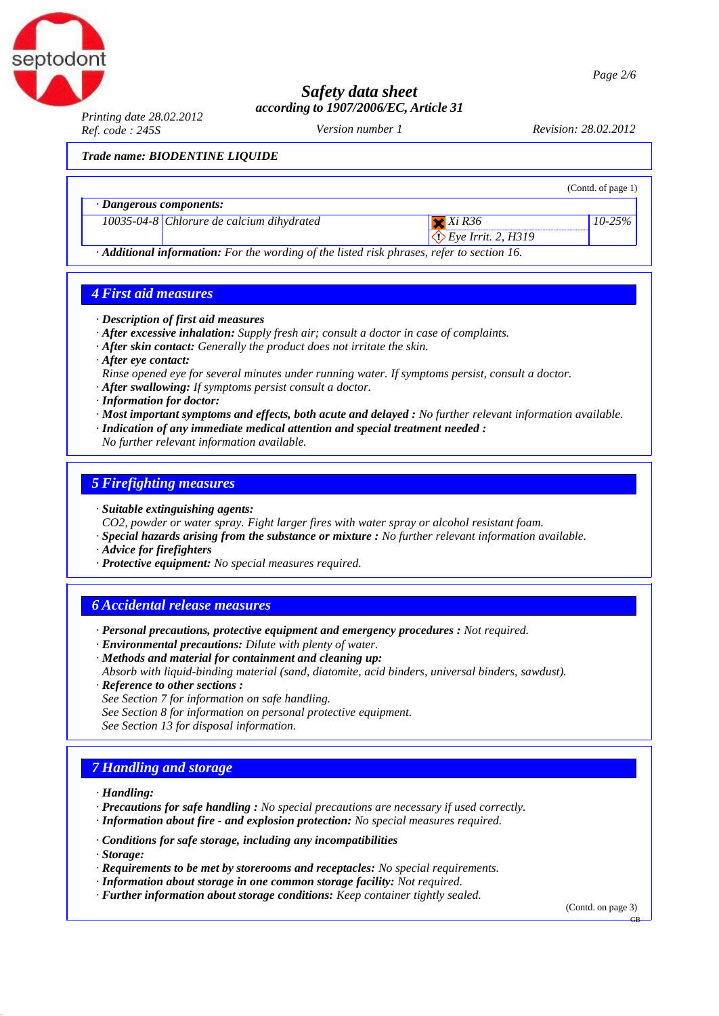

*Printing date 28.02.2012 Ref. code : 245S Revision: 28.02.2012*

*Version number 1*

*Trade name: BIODENTINE LIQUIDE*

|                         |                                                                                                 |                                 | (Contd. of page 1) |
|-------------------------|-------------------------------------------------------------------------------------------------|---------------------------------|--------------------|
| · Dangerous components: |                                                                                                 |                                 |                    |
|                         | $10035-04-8$ Chlorure de calcium dihydrated                                                     | $X$ $X$ <i>i</i> $R$ 36         | $10 - 25\%$        |
|                         |                                                                                                 | $\bigotimes$ Eye Irrit. 2, H319 |                    |
|                         | <b>Additional information:</b> For the wording of the listed risk phrases, refer to section 16. |                                 |                    |

### *4 First aid measures*

- *· Description of first aid measures*
- *· After excessive inhalation: Supply fresh air; consult a doctor in case of complaints.*
- *· After skin contact: Generally the product does not irritate the skin.*
- *· After eye contact:*
- *Rinse opened eye for several minutes under running water. If symptoms persist, consult a doctor.*
- *· After swallowing: If symptoms persist consult a doctor.*
- *· Information for doctor:*
- *· Most important symptoms and effects, both acute and delayed : No further relevant information available.*
- *· Indication of any immediate medical attention and special treatment needed :*
- *No further relevant information available.*

### *5 Firefighting measures*

- *· Suitable extinguishing agents:*
- *CO2, powder or water spray. Fight larger fires with water spray or alcohol resistant foam.*
- *· Special hazards arising from the substance or mixture : No further relevant information available.*
- *· Advice for firefighters*
- *· Protective equipment: No special measures required.*

### *6 Accidental release measures*

- *· Personal precautions, protective equipment and emergency procedures : Not required.*
- *· Environmental precautions: Dilute with plenty of water.*
- *· Methods and material for containment and cleaning up:*
- *Absorb with liquid-binding material (sand, diatomite, acid binders, universal binders, sawdust).*
- *· Reference to other sections : See Section 7 for information on safe handling. See Section 8 for information on personal protective equipment. See Section 13 for disposal information.*

### *7 Handling and storage*

- *· Handling:*
- *· Precautions for safe handling : No special precautions are necessary if used correctly.*
- *· Information about fire - and explosion protection: No special measures required.*
- *· Conditions for safe storage, including any incompatibilities*
- *· Storage:*
- *· Requirements to be met by storerooms and receptacles: No special requirements.*
- *· Information about storage in one common storage facility: Not required.*
- *· Further information about storage conditions: Keep container tightly sealed.*

(Contd. on page 3)

*Page 2/6*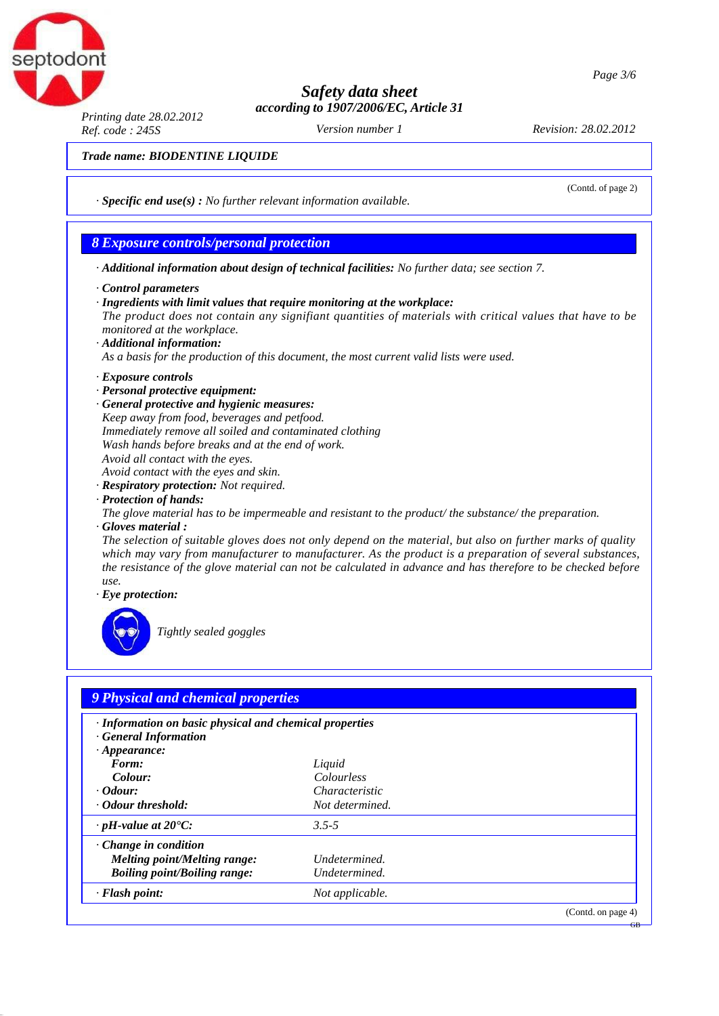

*Printing date 28.02.2012 Ref. code : 245S Revision: 28.02.2012*

ptodont

*Version number 1*

(Contd. of page 2)

#### *Trade name: BIODENTINE LIQUIDE*

*· Specific end use(s) : No further relevant information available.*

### *8 Exposure controls/personal protection*

- *· Additional information about design of technical facilities: No further data; see section 7.*
- *· Control parameters*
- *· Ingredients with limit values that require monitoring at the workplace: The product does not contain any signifiant quantities of materials with critical values that have to be monitored at the workplace. · Additional information:*
- *As a basis for the production of this document, the most current valid lists were used.*
- *· Exposure controls*
- *· Personal protective equipment:*

*· General protective and hygienic measures: Keep away from food, beverages and petfood. Immediately remove all soiled and contaminated clothing Wash hands before breaks and at the end of work. Avoid all contact with the eyes. Avoid contact with the eyes and skin.*

- *· Respiratory protection: Not required.*
- *· Protection of hands:*
- *The glove material has to be impermeable and resistant to the product/ the substance/ the preparation. · Gloves material :*

The selection of suitable gloves does not only depend on the material, but also on further marks of quality *which may vary from manufacturer to manufacturer. As the product is a preparation of several substances,*  the resistance of the glove material can not be calculated in advance and has therefore to be checked before *use.*

*· Eye protection:*



*Tightly sealed goggles*

| · Information on basic physical and chemical properties |                 |  |
|---------------------------------------------------------|-----------------|--|
| <b>General Information</b>                              |                 |  |
| $\cdot$ Appearance:                                     |                 |  |
| Form:                                                   | Liquid          |  |
| Colour:                                                 | Colourless      |  |
| <i>Codour:</i>                                          | Characteristic  |  |
| · Odour threshold:                                      | Not determined. |  |
| $\cdot$ pH-value at 20°C:                               | $3.5 - 5$       |  |
| $\cdot$ Change in condition                             |                 |  |
| Melting point/Melting range:                            | Undetermined.   |  |
| <b>Boiling point/Boiling range:</b>                     | Undetermined.   |  |
| · Flash point:                                          | Not applicable. |  |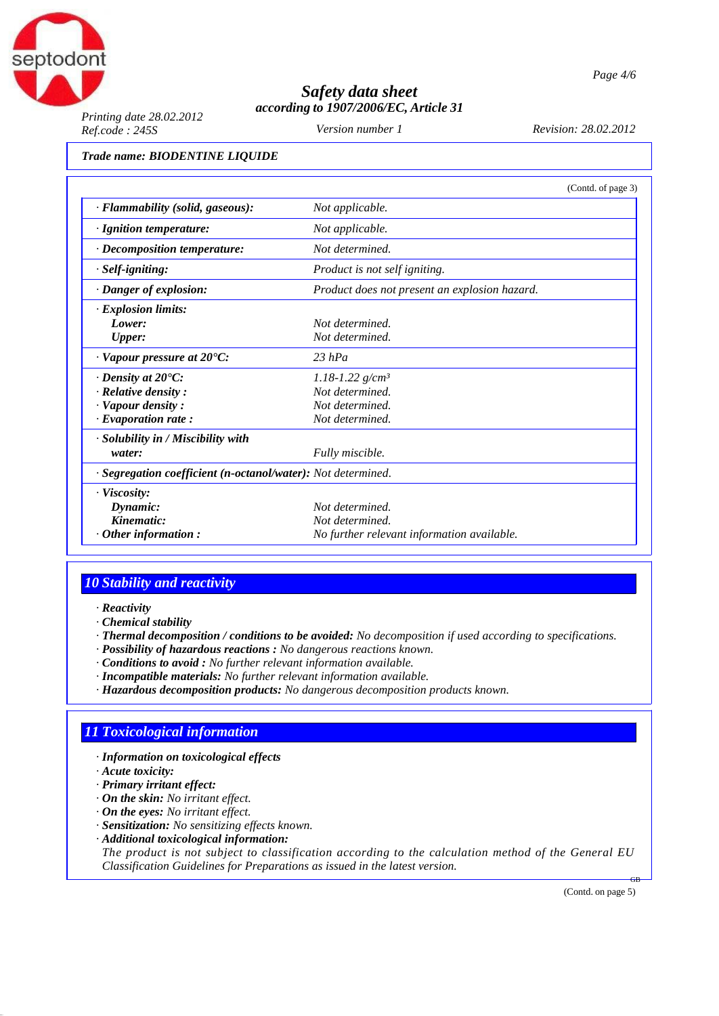

*Printing date 28.02.2012 Ref.code : 245S Revision: 28.02.2012*

*Version number 1*

#### *Trade name: BIODENTINE LIQUIDE*

|                                                              | (Contd. of page 3)                            |  |
|--------------------------------------------------------------|-----------------------------------------------|--|
| · Flammability (solid, gaseous):                             | Not applicable.                               |  |
| $\cdot$ Ignition temperature:                                | Not applicable.                               |  |
| $\cdot$ Decomposition temperature:                           | Not determined.                               |  |
| · Self-igniting:                                             | Product is not self igniting.                 |  |
| · Danger of explosion:                                       | Product does not present an explosion hazard. |  |
| $\cdot$ Explosion limits:                                    |                                               |  |
| Lower:                                                       | Not determined.                               |  |
| <b>Upper:</b>                                                | Not determined.                               |  |
| $\cdot$ Vapour pressure at 20 $\rm ^{\circ}C\rm ^{\circ}$ .  | $23$ hPa                                      |  |
| $\cdot$ Density at 20 $\degree$ C:                           | $1.18 - 1.22$ g/cm <sup>3</sup>               |  |
| $\cdot$ Relative density :                                   | Not determined.                               |  |
| · Vapour density:                                            | Not determined.                               |  |
| $\cdot$ Evaporation rate:                                    | Not determined.                               |  |
| · Solubility in / Miscibility with                           |                                               |  |
| water:                                                       | Fully miscible.                               |  |
| · Segregation coefficient (n-octanol/water): Not determined. |                                               |  |
| $\cdot$ Viscosity:                                           |                                               |  |
| Dynamic:                                                     | Not determined.                               |  |
| Kinematic:                                                   | Not determined.                               |  |
| $\cdot$ Other information:                                   | No further relevant information available.    |  |

## *10 Stability and reactivity*

- *· Reactivity*
- *· Chemical stability*
- *· Thermal decomposition / conditions to be avoided: No decomposition if used according to specifications.*
- *· Possibility of hazardous reactions : No dangerous reactions known.*
- *· Conditions to avoid : No further relevant information available.*
- *· Incompatible materials: No further relevant information available.*
- *· Hazardous decomposition products: No dangerous decomposition products known.*

## *11 Toxicological information*

- *· Information on toxicological effects*
- *· Acute toxicity:*
- *· Primary irritant effect:*
- *· On the skin: No irritant effect.*
- *· On the eyes: No irritant effect.*
- *· Sensitization: No sensitizing effects known.*
- *· Additional toxicological information:*

*The product is not subject to classification according to the calculation method of the General EU Classification Guidelines for Preparations as issued in the latest version.*

(Contd. on page 5)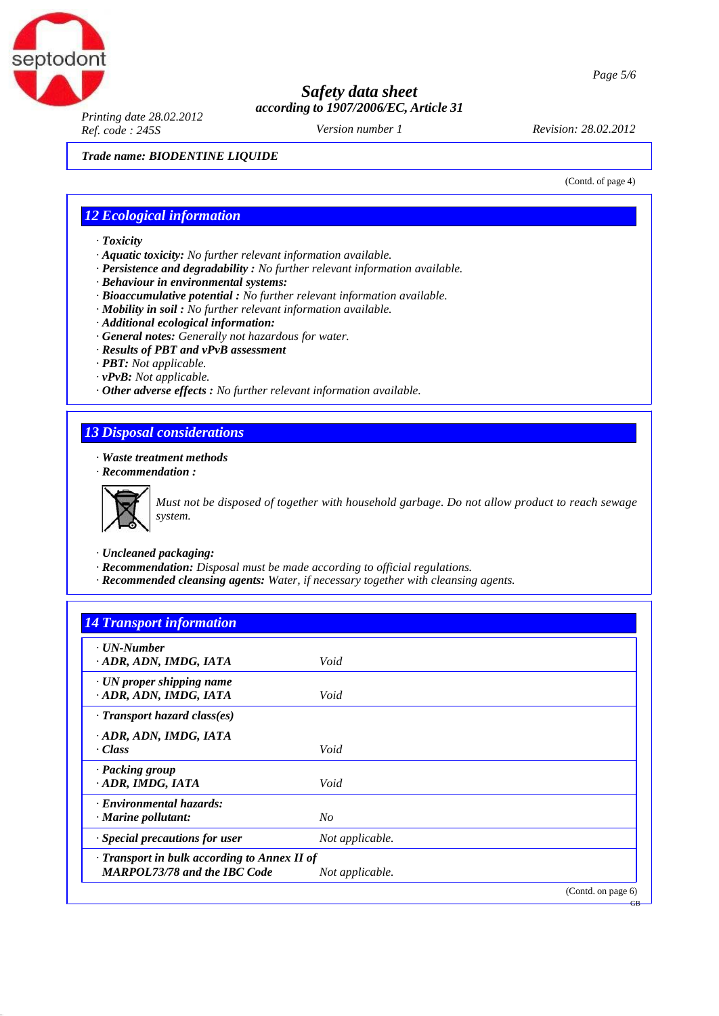

*Printing date 28.02.2012 Ref. code : 245S Revision: 28.02.2012*

*Version number 1*

*Trade name: BIODENTINE LIQUIDE*

(Contd. of page 4)

### *12 Ecological information*

- *· Toxicity*
- *· Aquatic toxicity: No further relevant information available.*
- *· Persistence and degradability : No further relevant information available.*
- *· Behaviour in environmental systems:*
- *· Bioaccumulative potential : No further relevant information available.*
- *· Mobility in soil : No further relevant information available.*
- *· Additional ecological information:*
- *· General notes: Generally not hazardous for water.*
- *· Results of PBT and vPvB assessment*
- *· PBT: Not applicable.*
- *· vPvB: Not applicable.*
- *· Other adverse effects : No further relevant information available.*

### *13 Disposal considerations*

*· Waste treatment methods*

*· Recommendation :*



*Must not be disposed of together with household garbage. Do not allow product to reach sewage system.*

- *· Uncleaned packaging:*
- *· Recommendation: Disposal must be made according to official regulations.*
- *· Recommended cleansing agents: Water, if necessary together with cleansing agents.*

| . UN-Number                                  |                 |  |
|----------------------------------------------|-----------------|--|
| · ADR, ADN, IMDG, IATA                       | Void            |  |
| $\cdot$ UN proper shipping name              |                 |  |
| · ADR, ADN, IMDG, IATA                       | Void            |  |
| · Transport hazard class(es)                 |                 |  |
| · ADR, ADN, IMDG, IATA                       |                 |  |
| · Class                                      | Void            |  |
| · Packing group                              |                 |  |
| · ADR, IMDG, IATA                            | Void            |  |
| · Environmental hazards:                     |                 |  |
| · Marine pollutant:                          | No              |  |
| · Special precautions for user               | Not applicable. |  |
| · Transport in bulk according to Annex II of |                 |  |
| <b>MARPOL73/78 and the IBC Code</b>          | Not applicable. |  |